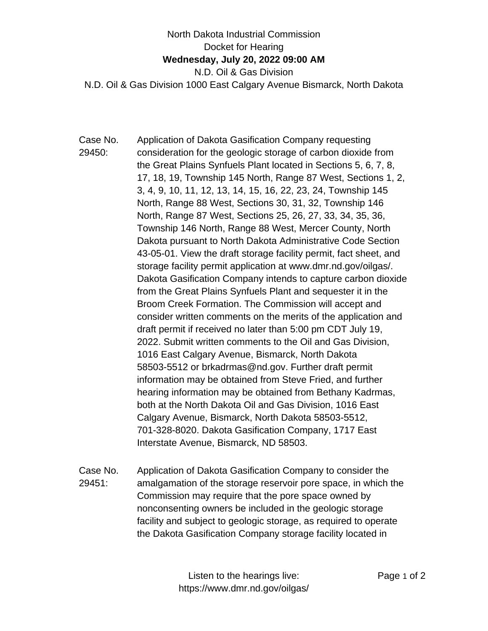## North Dakota Industrial Commission Docket for Hearing **Wednesday, July 20, 2022 09:00 AM** N.D. Oil & Gas Division N.D. Oil & Gas Division 1000 East Calgary Avenue Bismarck, North Dakota

- Case No. 29450: Application of Dakota Gasification Company requesting consideration for the geologic storage of carbon dioxide from the Great Plains Synfuels Plant located in Sections 5, 6, 7, 8, 17, 18, 19, Township 145 North, Range 87 West, Sections 1, 2, 3, 4, 9, 10, 11, 12, 13, 14, 15, 16, 22, 23, 24, Township 145 North, Range 88 West, Sections 30, 31, 32, Township 146 North, Range 87 West, Sections 25, 26, 27, 33, 34, 35, 36, Township 146 North, Range 88 West, Mercer County, North Dakota pursuant to North Dakota Administrative Code Section 43-05-01. View the draft storage facility permit, fact sheet, and storage facility permit application at www.dmr.nd.gov/oilgas/. Dakota Gasification Company intends to capture carbon dioxide from the Great Plains Synfuels Plant and sequester it in the Broom Creek Formation. The Commission will accept and consider written comments on the merits of the application and draft permit if received no later than 5:00 pm CDT July 19, 2022. Submit written comments to the Oil and Gas Division, 1016 East Calgary Avenue, Bismarck, North Dakota 58503-5512 or brkadrmas@nd.gov. Further draft permit information may be obtained from Steve Fried, and further hearing information may be obtained from Bethany Kadrmas, both at the North Dakota Oil and Gas Division, 1016 East Calgary Avenue, Bismarck, North Dakota 58503-5512, 701-328-8020. Dakota Gasification Company, 1717 East Interstate Avenue, Bismarck, ND 58503.
- Case No. 29451: Application of Dakota Gasification Company to consider the amalgamation of the storage reservoir pore space, in which the Commission may require that the pore space owned by nonconsenting owners be included in the geologic storage facility and subject to geologic storage, as required to operate the Dakota Gasification Company storage facility located in